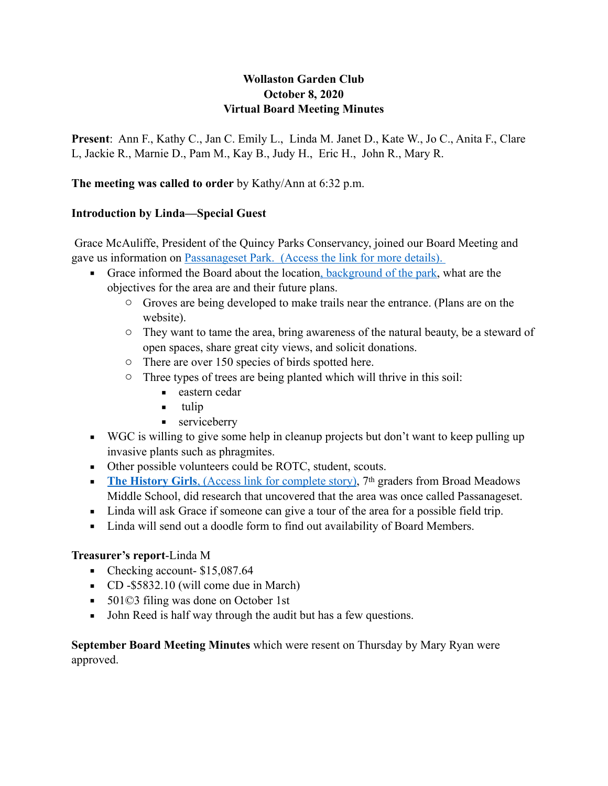# **Wollaston Garden Club October 8, 2020 Virtual Board Meeting Minutes**

**Present**: Ann F., Kathy C., Jan C. Emily L., Linda M. Janet D., Kate W., Jo C., Anita F., Clare L, Jackie R., Marnie D., Pam M., Kay B., Judy H., Eric H., John R., Mary R.

**The meeting was called to order** by Kathy/Ann at 6:32 p.m.

#### **Introduction by Linda—Special Guest**

 Grace McAuliffe, President of the Quincy Parks Conservancy, joined our Board Meeting and gave us information on [Passanageset Park. \(](http://passanageset.org/passanageset-park-at-broad-meadows-marsh/visitor-info/)Access the link for more details).

- Grace informed the Board about the location[, background of the park](https://www.quincyparksconservancy.org/programs-projects/passanagessett-park-project/), what are the objectives for the area are and their future plans.
	- o Groves are being developed to make trails near the entrance. (Plans are on the website).
	- o They want to tame the area, bring awareness of the natural beauty, be a steward of open spaces, share great city views, and solicit donations.
	- o There are over 150 species of birds spotted here.
	- o Three types of trees are being planted which will thrive in this soil:
		- eastern cedar
		- $\blacksquare$  tulip
		- **EXECUTE:**
- WGC is willing to give some help in cleanup projects but don't want to keep pulling up invasive plants such as phragmites.
- Other possible volunteers could be ROTC, student, scouts.
- **[The History Girls](http://passanageset.org/passanageset-project/original-project-proposal/)**, (Access link for complete story), 7<sup>th</sup> graders from Broad Meadows Middle School, did research that uncovered that the area was once called Passanageset.
- Linda will ask Grace if someone can give a tour of the area for a possible field trip.
- Linda will send out a doodle form to find out availability of Board Members.

# **Treasurer's report**-Linda M

- $\blacksquare$  Checking account- \$15,087.64
- CD -\$5832.10 (will come due in March)
- 501©3 filing was done on October 1st
- John Reed is half way through the audit but has a few questions.

**September Board Meeting Minutes** which were resent on Thursday by Mary Ryan were approved.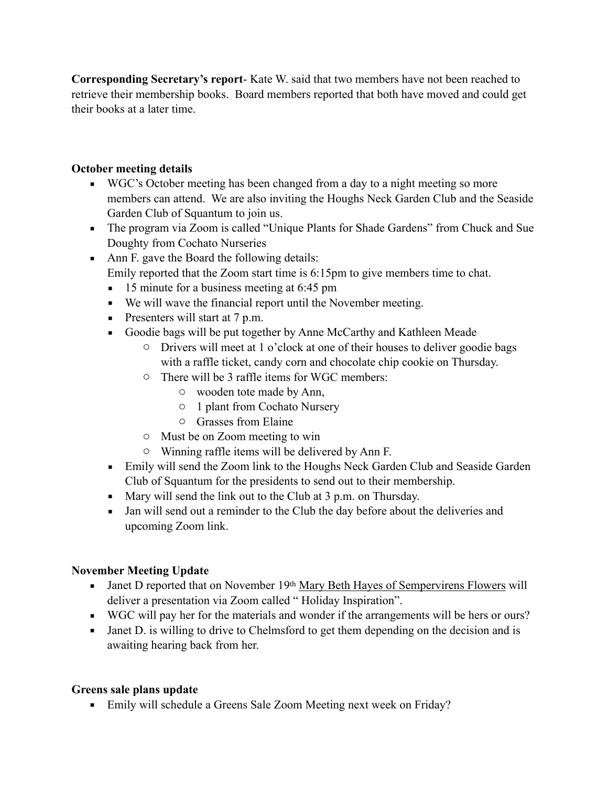**Corresponding Secretary's report**- Kate W. said that two members have not been reached to retrieve their membership books. Board members reported that both have moved and could get their books at a later time.

# **October meeting details**

- WGC's October meeting has been changed from a day to a night meeting so more members can attend. We are also inviting the Houghs Neck Garden Club and the Seaside Garden Club of Squantum to join us.
- The program via Zoom is called "Unique Plants for Shade Gardens" from Chuck and Sue Doughty from Cochato Nurseries
- Ann F. gave the Board the following details: Emily reported that the Zoom start time is 6:15pm to give members time to chat.
	- 15 minute for a business meeting at 6:45 pm
	- We will wave the financial report until the November meeting.
	- $\blacksquare$  Presenters will start at 7 p.m.
	- Goodie bags will be put together by Anne McCarthy and Kathleen Meade
		- o Drivers will meet at 1 o'clock at one of their houses to deliver goodie bags with a raffle ticket, candy corn and chocolate chip cookie on Thursday.
		- o There will be 3 raffle items for WGC members:
			- o wooden tote made by Ann,
			- o 1 plant from Cochato Nursery
			- o Grasses from Elaine
		- o Must be on Zoom meeting to win
		- o Winning raffle items will be delivered by Ann F.
	- **Emily will send the Zoom link to the Houghs Neck Garden Club and Seaside Garden** Club of Squantum for the presidents to send out to their membership.
	- Mary will send the link out to the Club at 3 p.m. on Thursday.
	- Jan will send out a reminder to the Club the day before about the deliveries and upcoming Zoom link.

# **November Meeting Update**

- **■** Janet D reported that on November 19th [Mary Beth Hayes of Sempervirens Flowers](https://www.sempervirensflowers.com/) will deliver a presentation via Zoom called " Holiday Inspiration".
- WGC will pay her for the materials and wonder if the arrangements will be hers or ours?
- Janet D. is willing to drive to Chelmsford to get them depending on the decision and is awaiting hearing back from her.

# **Greens sale plans update**

■ Emily will schedule a Greens Sale Zoom Meeting next week on Friday?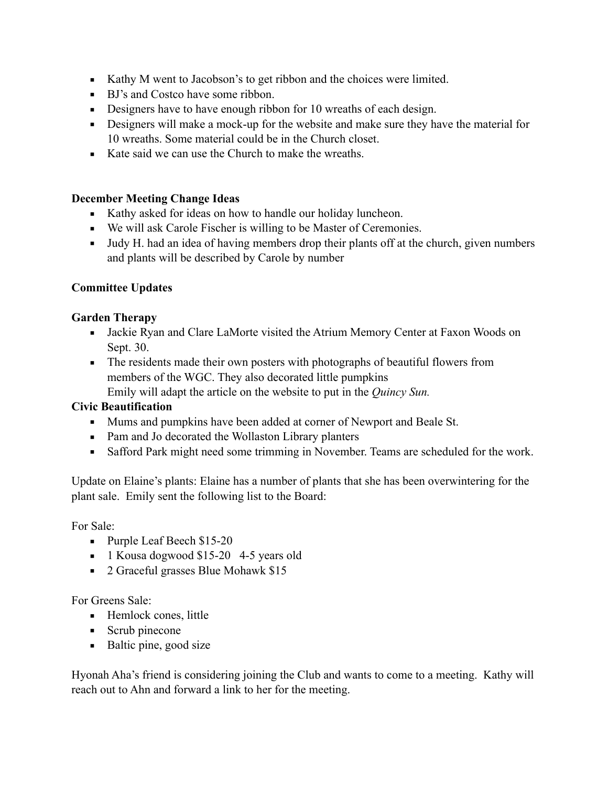- Kathy M went to Jacobson's to get ribbon and the choices were limited.
- BJ's and Costco have some ribbon.
- **•** Designers have to have enough ribbon for 10 wreaths of each design.
- **•** Designers will make a mock-up for the website and make sure they have the material for 10 wreaths. Some material could be in the Church closet.
- Kate said we can use the Church to make the wreaths.

#### **December Meeting Change Ideas**

- Kathy asked for ideas on how to handle our holiday luncheon.
- We will ask Carole Fischer is willing to be Master of Ceremonies.
- Judy H. had an idea of having members drop their plants off at the church, given numbers and plants will be described by Carole by number

#### **Committee Updates**

#### **Garden Therapy**

- **Example 3** Jackie Ryan and Clare LaMorte visited the Atrium Memory Center at Faxon Woods on Sept. 30.
- **•** The residents made their own posters with photographs of beautiful flowers from members of the WGC. They also decorated little pumpkins

Emily will adapt the article on the website to put in the *Quincy Sun.*

#### **Civic Beautification**

- Mums and pumpkins have been added at corner of Newport and Beale St.
- Pam and Jo decorated the Wollaston Library planters
- Safford Park might need some trimming in November. Teams are scheduled for the work.

Update on Elaine's plants: Elaine has a number of plants that she has been overwintering for the plant sale. Emily sent the following list to the Board:

For Sale:

- Purple Leaf Beech \$15-20
- **•** 1 Kousa dogwood \$15-20 4-5 years old
- 2 Graceful grasses Blue Mohawk \$15

For Greens Sale:

- Hemlock cones, little
- $\blacksquare$  Scrub pinecone
- Baltic pine, good size

Hyonah Aha's friend is considering joining the Club and wants to come to a meeting. Kathy will reach out to Ahn and forward a link to her for the meeting.